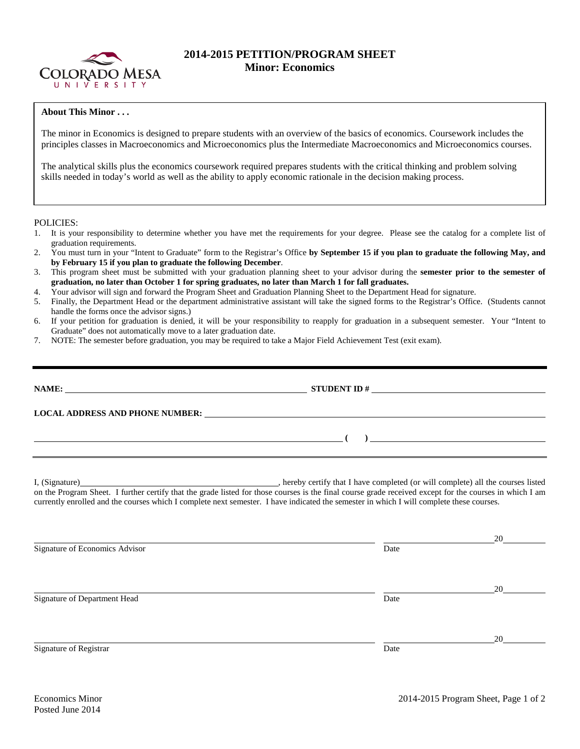

## **2014-2015 PETITION/PROGRAM SHEET Minor: Economics**

## **About This Minor . . .**

The minor in Economics is designed to prepare students with an overview of the basics of economics. Coursework includes the principles classes in Macroeconomics and Microeconomics plus the Intermediate Macroeconomics and Microeconomics courses.

The analytical skills plus the economics coursework required prepares students with the critical thinking and problem solving skills needed in today's world as well as the ability to apply economic rationale in the decision making process.

POLICIES:

- 1. It is your responsibility to determine whether you have met the requirements for your degree. Please see the catalog for a complete list of graduation requirements.
- 2. You must turn in your "Intent to Graduate" form to the Registrar's Office **by September 15 if you plan to graduate the following May, and by February 15 if you plan to graduate the following December**.
- 3. This program sheet must be submitted with your graduation planning sheet to your advisor during the **semester prior to the semester of graduation, no later than October 1 for spring graduates, no later than March 1 for fall graduates.**
- 4. Your advisor will sign and forward the Program Sheet and Graduation Planning Sheet to the Department Head for signature.
- 5. Finally, the Department Head or the department administrative assistant will take the signed forms to the Registrar's Office. (Students cannot handle the forms once the advisor signs.)
- 6. If your petition for graduation is denied, it will be your responsibility to reapply for graduation in a subsequent semester. Your "Intent to Graduate" does not automatically move to a later graduation date.
- 7. NOTE: The semester before graduation, you may be required to take a Major Field Achievement Test (exit exam).

| NAME:<br><u> 1980 - John Stein, marking and de Britain and de Britain and de Britain and de Britain and de Britain and de</u> | <b>STUDENT ID#</b><br><u> 1980 - Jan Samuel Barbara, margaret e</u> n 1980 eta 1980 eta 1980 eta 1980 eta 1980 eta 1980 eta 1980 eta 1980 e |  |  |  |  |
|-------------------------------------------------------------------------------------------------------------------------------|---------------------------------------------------------------------------------------------------------------------------------------------|--|--|--|--|
| <b>LOCAL ADDRESS AND PHONE NUMBER:</b>                                                                                        | <u> 1989 - Jan Samuel Barbara, margaret e populari e populari e populari e populari e populari e populari e popu</u>                        |  |  |  |  |
|                                                                                                                               |                                                                                                                                             |  |  |  |  |
|                                                                                                                               |                                                                                                                                             |  |  |  |  |

I, (Signature) , hereby certify that I have completed (or will complete) all the courses listed on the Program Sheet. I further certify that the grade listed for those courses is the final course grade received except for the courses in which I am currently enrolled and the courses which I complete next semester. I have indicated the semester in which I will complete these courses.

 20 Signature of Economics Advisor Date and Security and Security and Security and Security and Security and Security and Security and Security and Security and Security and Security and Security and Security and Security and 20 Signature of Department Head Date 20 Signature of Registrar Date